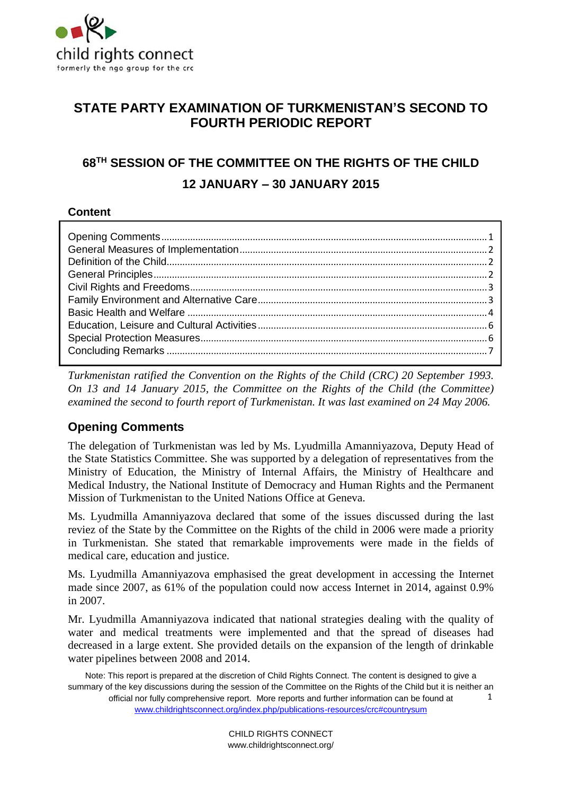

# **STATE PARTY EXAMINATION OF TURKMENISTAN'S SECOND TO FOURTH PERIODIC REPORT**

# **68TH SESSION OF THE COMMITTEE ON THE RIGHTS OF THE CHILD 12 JANUARY – 30 JANUARY 2015**

### **Content**

*Turkmenistan ratified the Convention on the Rights of the Child (CRC) 20 September 1993. On 13 and 14 January 2015, the Committee on the Rights of the Child (the Committee) examined the second to fourth report of Turkmenistan. It was last examined on 24 May 2006.*

### <span id="page-0-0"></span>**Opening Comments**

The delegation of Turkmenistan was led by Ms. Lyudmilla Amanniyazova, Deputy Head of the State Statistics Committee. She was supported by a delegation of representatives from the Ministry of Education, the Ministry of Internal Affairs, the Ministry of Healthcare and Medical Industry, the National Institute of Democracy and Human Rights and the Permanent Mission of Turkmenistan to the United Nations Office at Geneva.

Ms. Lyudmilla Amanniyazova declared that some of the issues discussed during the last reviez of the State by the Committee on the Rights of the child in 2006 were made a priority in Turkmenistan. She stated that remarkable improvements were made in the fields of medical care, education and justice.

Ms. Lyudmilla Amanniyazova emphasised the great development in accessing the Internet made since 2007, as 61% of the population could now access Internet in 2014, against 0.9% in 2007.

Mr. Lyudmilla Amanniyazova indicated that national strategies dealing with the quality of water and medical treatments were implemented and that the spread of diseases had decreased in a large extent. She provided details on the expansion of the length of drinkable water pipelines between 2008 and 2014.

Note: This report is prepared at the discretion of Child Rights Connect. The content is designed to give a summary of the key discussions during the session of the Committee on the Rights of the Child but it is neither an official nor fully comprehensive report. More reports and further information can be found at [www.childrightsconnect.org/index.php/publications-resources/crc#countrysum](http://www.childrightsconnect.org/index.php/publications-resources/crc#countrysum) 1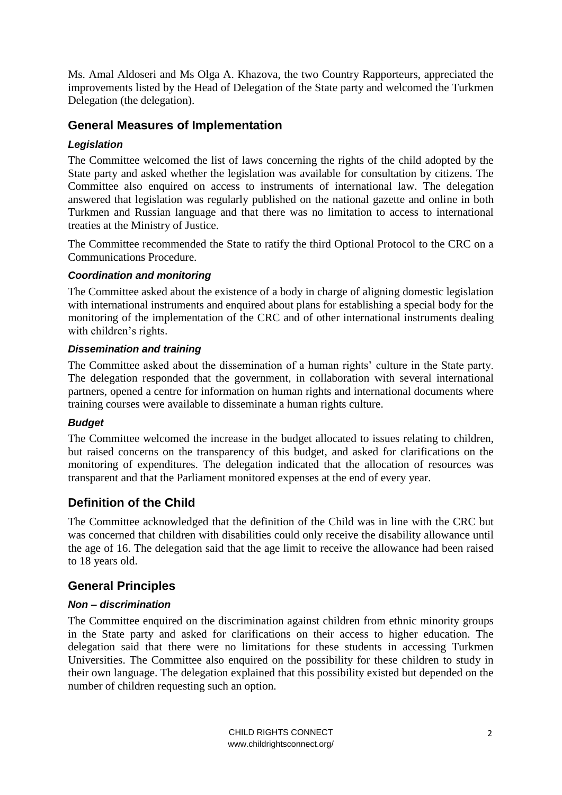Ms. Amal Aldoseri and Ms Olga A. Khazova, the two Country Rapporteurs, appreciated the improvements listed by the Head of Delegation of the State party and welcomed the Turkmen Delegation (the delegation).

### <span id="page-1-0"></span>**General Measures of Implementation**

### *Legislation*

The Committee welcomed the list of laws concerning the rights of the child adopted by the State party and asked whether the legislation was available for consultation by citizens. The Committee also enquired on access to instruments of international law. The delegation answered that legislation was regularly published on the national gazette and online in both Turkmen and Russian language and that there was no limitation to access to international treaties at the Ministry of Justice.

The Committee recommended the State to ratify the third Optional Protocol to the CRC on a Communications Procedure.

### *Coordination and monitoring*

The Committee asked about the existence of a body in charge of aligning domestic legislation with international instruments and enquired about plans for establishing a special body for the monitoring of the implementation of the CRC and of other international instruments dealing with children's rights.

#### *Dissemination and training*

The Committee asked about the dissemination of a human rights' culture in the State party. The delegation responded that the government, in collaboration with several international partners, opened a centre for information on human rights and international documents where training courses were available to disseminate a human rights culture.

#### *Budget*

The Committee welcomed the increase in the budget allocated to issues relating to children, but raised concerns on the transparency of this budget, and asked for clarifications on the monitoring of expenditures. The delegation indicated that the allocation of resources was transparent and that the Parliament monitored expenses at the end of every year.

# <span id="page-1-1"></span>**Definition of the Child**

The Committee acknowledged that the definition of the Child was in line with the CRC but was concerned that children with disabilities could only receive the disability allowance until the age of 16. The delegation said that the age limit to receive the allowance had been raised to 18 years old.

### <span id="page-1-2"></span>**General Principles**

#### *Non – discrimination*

The Committee enquired on the discrimination against children from ethnic minority groups in the State party and asked for clarifications on their access to higher education. The delegation said that there were no limitations for these students in accessing Turkmen Universities. The Committee also enquired on the possibility for these children to study in their own language. The delegation explained that this possibility existed but depended on the number of children requesting such an option.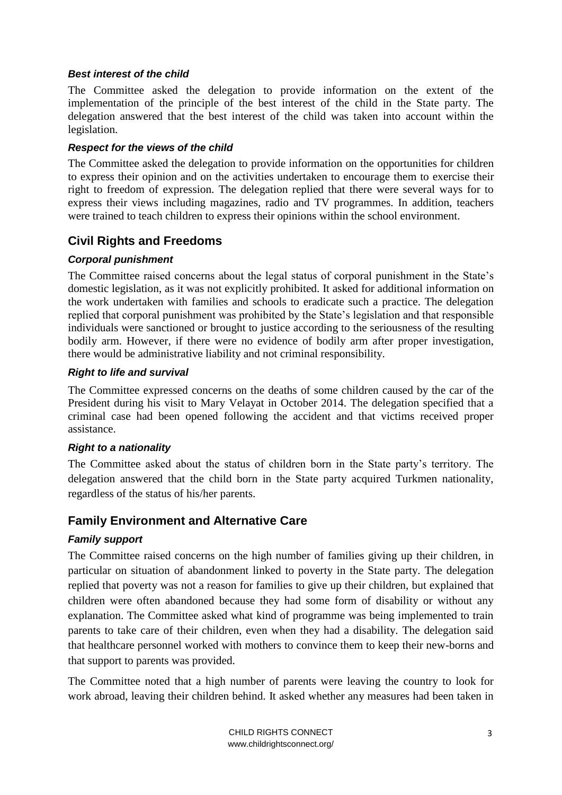#### *Best interest of the child*

The Committee asked the delegation to provide information on the extent of the implementation of the principle of the best interest of the child in the State party. The delegation answered that the best interest of the child was taken into account within the legislation.

#### *Respect for the views of the child*

The Committee asked the delegation to provide information on the opportunities for children to express their opinion and on the activities undertaken to encourage them to exercise their right to freedom of expression. The delegation replied that there were several ways for to express their views including magazines, radio and TV programmes. In addition, teachers were trained to teach children to express their opinions within the school environment.

# <span id="page-2-0"></span>**Civil Rights and Freedoms**

### *Corporal punishment*

The Committee raised concerns about the legal status of corporal punishment in the State's domestic legislation, as it was not explicitly prohibited. It asked for additional information on the work undertaken with families and schools to eradicate such a practice. The delegation replied that corporal punishment was prohibited by the State's legislation and that responsible individuals were sanctioned or brought to justice according to the seriousness of the resulting bodily arm. However, if there were no evidence of bodily arm after proper investigation, there would be administrative liability and not criminal responsibility.

#### *Right to life and survival*

The Committee expressed concerns on the deaths of some children caused by the car of the President during his visit to Mary Velayat in October 2014. The delegation specified that a criminal case had been opened following the accident and that victims received proper assistance.

#### *Right to a nationality*

The Committee asked about the status of children born in the State party's territory. The delegation answered that the child born in the State party acquired Turkmen nationality, regardless of the status of his/her parents.

# <span id="page-2-1"></span>**Family Environment and Alternative Care**

### *Family support*

The Committee raised concerns on the high number of families giving up their children, in particular on situation of abandonment linked to poverty in the State party. The delegation replied that poverty was not a reason for families to give up their children, but explained that children were often abandoned because they had some form of disability or without any explanation. The Committee asked what kind of programme was being implemented to train parents to take care of their children, even when they had a disability. The delegation said that healthcare personnel worked with mothers to convince them to keep their new-borns and that support to parents was provided.

The Committee noted that a high number of parents were leaving the country to look for work abroad, leaving their children behind. It asked whether any measures had been taken in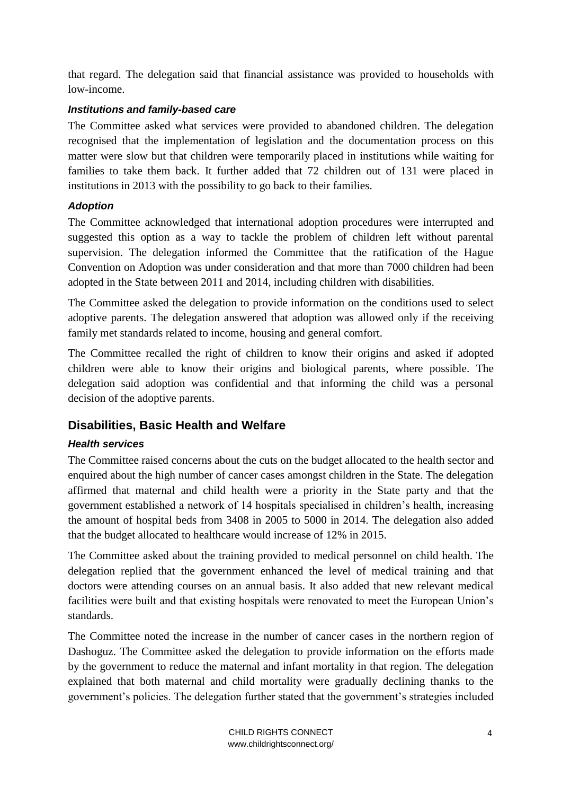that regard. The delegation said that financial assistance was provided to households with low-income.

### *Institutions and family-based care*

The Committee asked what services were provided to abandoned children. The delegation recognised that the implementation of legislation and the documentation process on this matter were slow but that children were temporarily placed in institutions while waiting for families to take them back. It further added that 72 children out of 131 were placed in institutions in 2013 with the possibility to go back to their families.

### *Adoption*

The Committee acknowledged that international adoption procedures were interrupted and suggested this option as a way to tackle the problem of children left without parental supervision. The delegation informed the Committee that the ratification of the Hague Convention on Adoption was under consideration and that more than 7000 children had been adopted in the State between 2011 and 2014, including children with disabilities.

The Committee asked the delegation to provide information on the conditions used to select adoptive parents. The delegation answered that adoption was allowed only if the receiving family met standards related to income, housing and general comfort.

The Committee recalled the right of children to know their origins and asked if adopted children were able to know their origins and biological parents, where possible. The delegation said adoption was confidential and that informing the child was a personal decision of the adoptive parents.

# <span id="page-3-0"></span>**Disabilities, Basic Health and Welfare**

# *Health services*

The Committee raised concerns about the cuts on the budget allocated to the health sector and enquired about the high number of cancer cases amongst children in the State. The delegation affirmed that maternal and child health were a priority in the State party and that the government established a network of 14 hospitals specialised in children's health, increasing the amount of hospital beds from 3408 in 2005 to 5000 in 2014. The delegation also added that the budget allocated to healthcare would increase of 12% in 2015.

The Committee asked about the training provided to medical personnel on child health. The delegation replied that the government enhanced the level of medical training and that doctors were attending courses on an annual basis. It also added that new relevant medical facilities were built and that existing hospitals were renovated to meet the European Union's standards.

The Committee noted the increase in the number of cancer cases in the northern region of Dashoguz. The Committee asked the delegation to provide information on the efforts made by the government to reduce the maternal and infant mortality in that region. The delegation explained that both maternal and child mortality were gradually declining thanks to the government's policies. The delegation further stated that the government's strategies included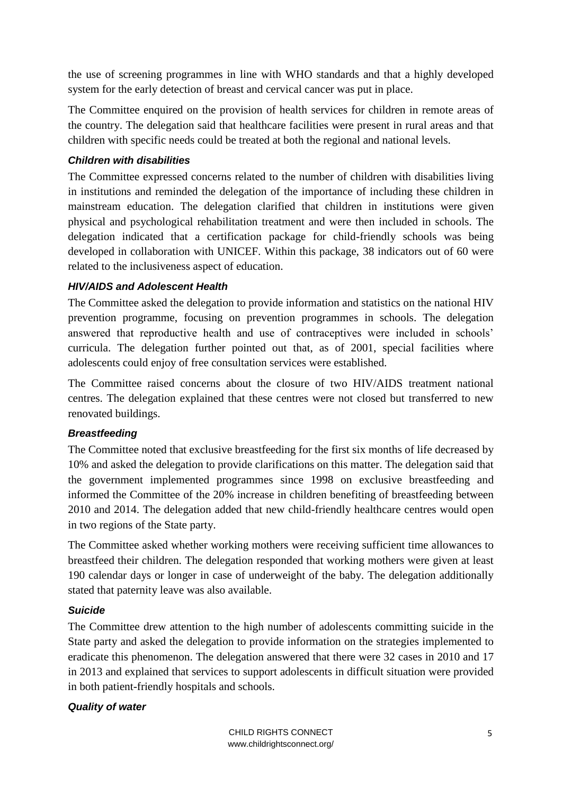the use of screening programmes in line with WHO standards and that a highly developed system for the early detection of breast and cervical cancer was put in place.

The Committee enquired on the provision of health services for children in remote areas of the country. The delegation said that healthcare facilities were present in rural areas and that children with specific needs could be treated at both the regional and national levels.

### *Children with disabilities*

The Committee expressed concerns related to the number of children with disabilities living in institutions and reminded the delegation of the importance of including these children in mainstream education. The delegation clarified that children in institutions were given physical and psychological rehabilitation treatment and were then included in schools. The delegation indicated that a certification package for child-friendly schools was being developed in collaboration with UNICEF. Within this package, 38 indicators out of 60 were related to the inclusiveness aspect of education.

### *HIV/AIDS and Adolescent Health*

The Committee asked the delegation to provide information and statistics on the national HIV prevention programme, focusing on prevention programmes in schools. The delegation answered that reproductive health and use of contraceptives were included in schools' curricula. The delegation further pointed out that, as of 2001, special facilities where adolescents could enjoy of free consultation services were established.

The Committee raised concerns about the closure of two HIV/AIDS treatment national centres. The delegation explained that these centres were not closed but transferred to new renovated buildings.

#### *Breastfeeding*

The Committee noted that exclusive breastfeeding for the first six months of life decreased by 10% and asked the delegation to provide clarifications on this matter. The delegation said that the government implemented programmes since 1998 on exclusive breastfeeding and informed the Committee of the 20% increase in children benefiting of breastfeeding between 2010 and 2014. The delegation added that new child-friendly healthcare centres would open in two regions of the State party.

The Committee asked whether working mothers were receiving sufficient time allowances to breastfeed their children. The delegation responded that working mothers were given at least 190 calendar days or longer in case of underweight of the baby. The delegation additionally stated that paternity leave was also available.

#### *Suicide*

The Committee drew attention to the high number of adolescents committing suicide in the State party and asked the delegation to provide information on the strategies implemented to eradicate this phenomenon. The delegation answered that there were 32 cases in 2010 and 17 in 2013 and explained that services to support adolescents in difficult situation were provided in both patient-friendly hospitals and schools.

#### *Quality of water*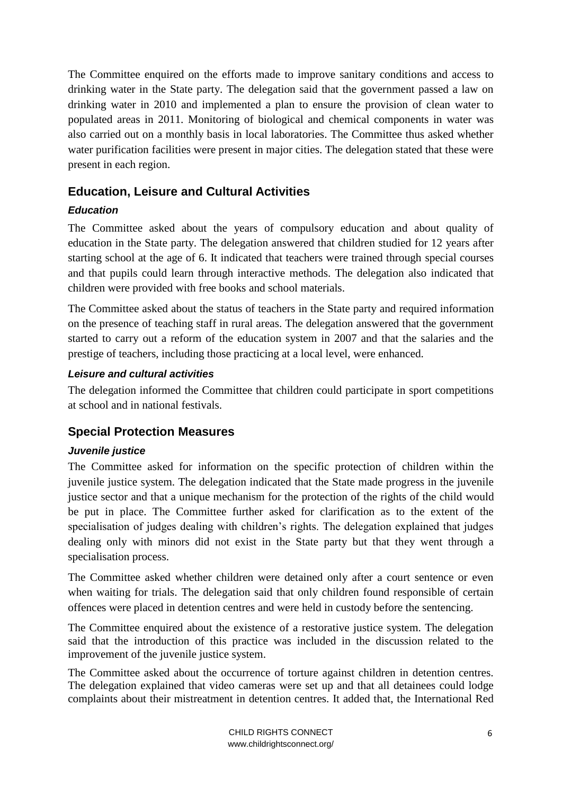The Committee enquired on the efforts made to improve sanitary conditions and access to drinking water in the State party. The delegation said that the government passed a law on drinking water in 2010 and implemented a plan to ensure the provision of clean water to populated areas in 2011. Monitoring of biological and chemical components in water was also carried out on a monthly basis in local laboratories. The Committee thus asked whether water purification facilities were present in major cities. The delegation stated that these were present in each region.

# <span id="page-5-0"></span>**Education, Leisure and Cultural Activities**

# *Education*

The Committee asked about the years of compulsory education and about quality of education in the State party. The delegation answered that children studied for 12 years after starting school at the age of 6. It indicated that teachers were trained through special courses and that pupils could learn through interactive methods. The delegation also indicated that children were provided with free books and school materials.

The Committee asked about the status of teachers in the State party and required information on the presence of teaching staff in rural areas. The delegation answered that the government started to carry out a reform of the education system in 2007 and that the salaries and the prestige of teachers, including those practicing at a local level, were enhanced.

### *Leisure and cultural activities*

The delegation informed the Committee that children could participate in sport competitions at school and in national festivals.

# <span id="page-5-1"></span>**Special Protection Measures**

### *Juvenile justice*

The Committee asked for information on the specific protection of children within the juvenile justice system. The delegation indicated that the State made progress in the juvenile justice sector and that a unique mechanism for the protection of the rights of the child would be put in place. The Committee further asked for clarification as to the extent of the specialisation of judges dealing with children's rights. The delegation explained that judges dealing only with minors did not exist in the State party but that they went through a specialisation process.

The Committee asked whether children were detained only after a court sentence or even when waiting for trials. The delegation said that only children found responsible of certain offences were placed in detention centres and were held in custody before the sentencing.

The Committee enquired about the existence of a restorative justice system. The delegation said that the introduction of this practice was included in the discussion related to the improvement of the juvenile justice system.

The Committee asked about the occurrence of torture against children in detention centres. The delegation explained that video cameras were set up and that all detainees could lodge complaints about their mistreatment in detention centres. It added that, the International Red